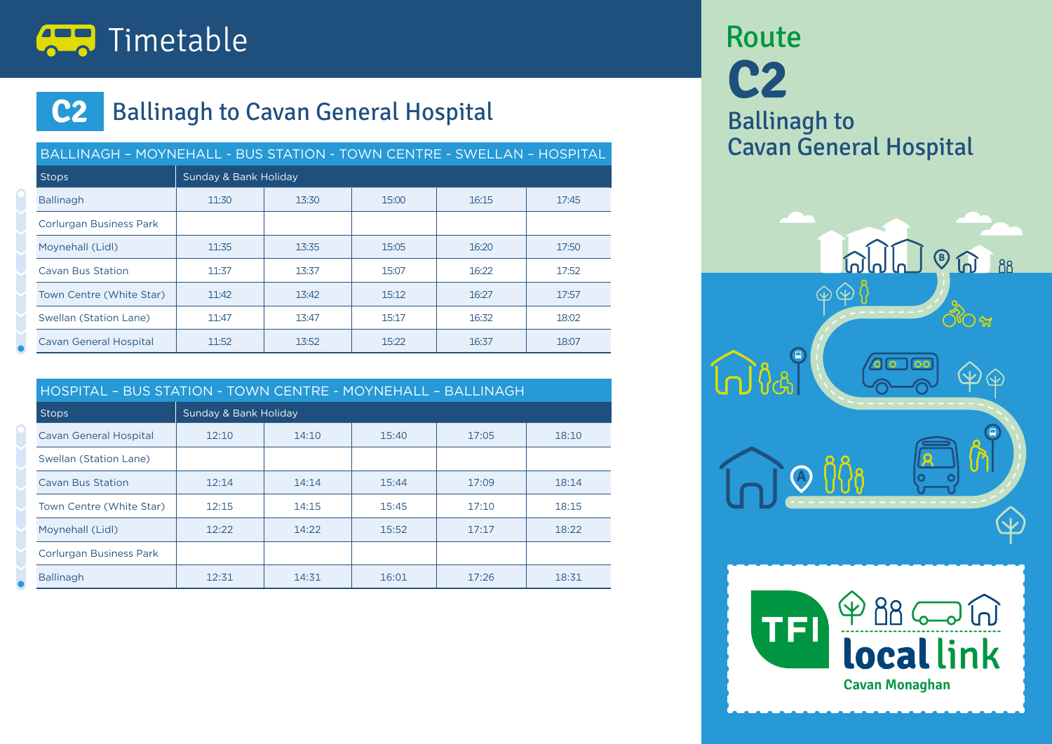

## **C2** Ballinagh to Cavan General Hospital

|                                | BALLINAGH - MOYNEHALL - BUS STATION - TOWN CENTRE - SWELLAN - HOSPITAL |       |       |       |       |  |  |  |  |
|--------------------------------|------------------------------------------------------------------------|-------|-------|-------|-------|--|--|--|--|
| <b>Stops</b>                   | Sunday & Bank Holiday                                                  |       |       |       |       |  |  |  |  |
| <b>Ballinagh</b>               | 11:30                                                                  | 13:30 | 15:00 | 16:15 | 17:45 |  |  |  |  |
| <b>Corlurgan Business Park</b> |                                                                        |       |       |       |       |  |  |  |  |
| Moynehall (Lidl)               | 11:35                                                                  | 13:35 | 15:05 | 16:20 | 17:50 |  |  |  |  |
| <b>Cavan Bus Station</b>       | 11:37                                                                  | 13:37 | 15:07 | 16:22 | 17:52 |  |  |  |  |
| Town Centre (White Star)       | 11:42                                                                  | 13:42 | 15:12 | 16:27 | 17:57 |  |  |  |  |
| Swellan (Station Lane)         | 11:47                                                                  | 13:47 | 15:17 | 16:32 | 18:02 |  |  |  |  |
| <b>Cavan General Hospital</b>  | 11:52                                                                  | 13:52 | 15:22 | 16:37 | 18:07 |  |  |  |  |

|                                |                       |       | HOSPITAL - BUS STATION - TOWN CENTRE - MOYNEHALL - BALLINAGH |       |       |  |  |  |  |  |
|--------------------------------|-----------------------|-------|--------------------------------------------------------------|-------|-------|--|--|--|--|--|
| <b>Stops</b>                   | Sunday & Bank Holiday |       |                                                              |       |       |  |  |  |  |  |
| <b>Cavan General Hospital</b>  | 12:10                 | 14:10 | 15:40                                                        | 17:05 | 18:10 |  |  |  |  |  |
| Swellan (Station Lane)         |                       |       |                                                              |       |       |  |  |  |  |  |
| <b>Cavan Bus Station</b>       | 12:14                 | 14:14 | 15:44                                                        | 17:09 | 18:14 |  |  |  |  |  |
| Town Centre (White Star)       | 12:15                 | 14:15 | 15:45                                                        | 17:10 | 18:15 |  |  |  |  |  |
| Moynehall (Lidl)               | 12:22                 | 14:22 | 15:52                                                        | 17:17 | 18:22 |  |  |  |  |  |
| <b>Corlurgan Business Park</b> |                       |       |                                                              |       |       |  |  |  |  |  |
| <b>Ballinagh</b>               | 12:31                 | 14:31 | 16:01                                                        | 17:26 | 18:31 |  |  |  |  |  |

**C2** Ballinagh to Cavan General Hospital Route